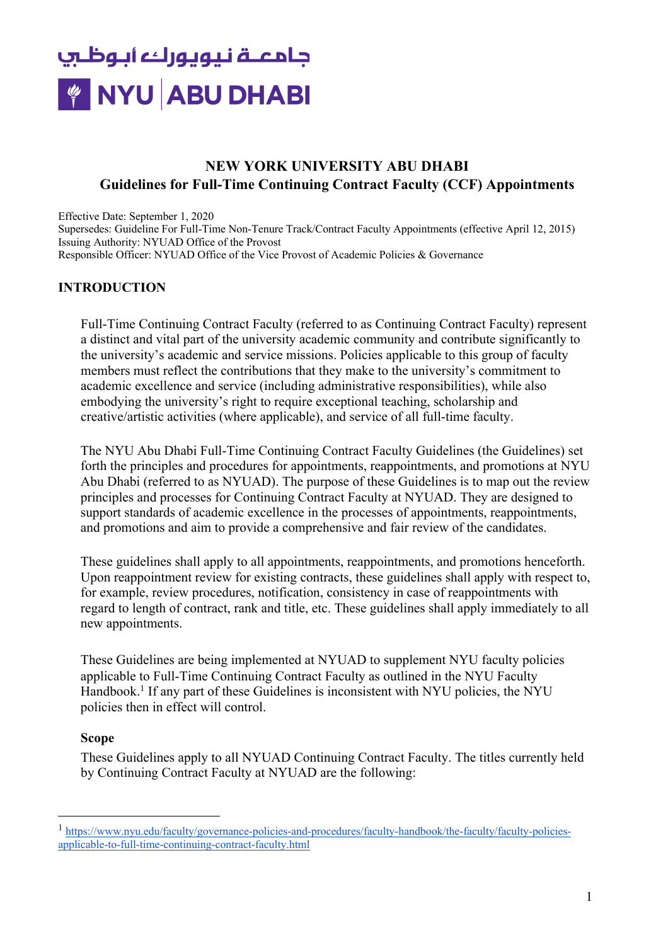## **Guidelines for Full-Time Continuing Contract Faculty (CCF) Appointments NEW YORK UNIVERSITY ABU DHABI**

 Effective Date: September 1, 2020 Supersedes: Guideline For Full-Time Non-Tenure Track/Contract Faculty Appointments (effective April 12, 2015) Issuing Authority: NYUAD Office of the Provost Responsible Officer: NYUAD Office of the Vice Provost of Academic Policies & Governance

### **INTRODUCTION**

Full-Time Continuing Contract Faculty (referred to as Continuing Contract Faculty) represent a distinct and vital part of the university academic community and contribute significantly to the university's academic and service missions. Policies applicable to this group of faculty members must reflect the contributions that they make to the university's commitment to academic excellence and service (including administrative responsibilities), while also embodying the university's right to require exceptional teaching, scholarship and creative/artistic activities (where applicable), and service of all full-time faculty.

The NYU Abu Dhabi Full-Time Continuing Contract Faculty Guidelines (the Guidelines) set forth the principles and procedures for appointments, reappointments, and promotions at NYU Abu Dhabi (referred to as NYUAD). The purpose of these Guidelines is to map out the review principles and processes for Continuing Contract Faculty at NYUAD. They are designed to support standards of academic excellence in the processes of appointments, reappointments, and promotions and aim to provide a comprehensive and fair review of the candidates.

These guidelines shall apply to all appointments, reappointments, and promotions henceforth. Upon reappointment review for existing contracts, these guidelines shall apply with respect to, for example, review procedures, notification, consistency in case of reappointments with regard to length of contract, rank and title, etc. These guidelines shall apply immediately to all new appointments.

These Guidelines are being implemented at NYUAD to supplement NYU faculty policies applicable to Full-Time Continuing Contract Faculty as outlined in the NYU Faculty Handbook.<sup>1</sup> If any part of these Guidelines is inconsistent with NYU policies, the NYU policies then in effect will control.

### **Scope**

These Guidelines apply to all NYUAD Continuing Contract Faculty. The titles currently held by Continuing Contract Faculty at NYUAD are the following:

<sup>1</sup> https://www.nyu.edu/faculty/governance-policies-and-procedures/faculty-handbook/the-faculty/faculty-policiesapplicable-to-full-time-continuing-contract-faculty.html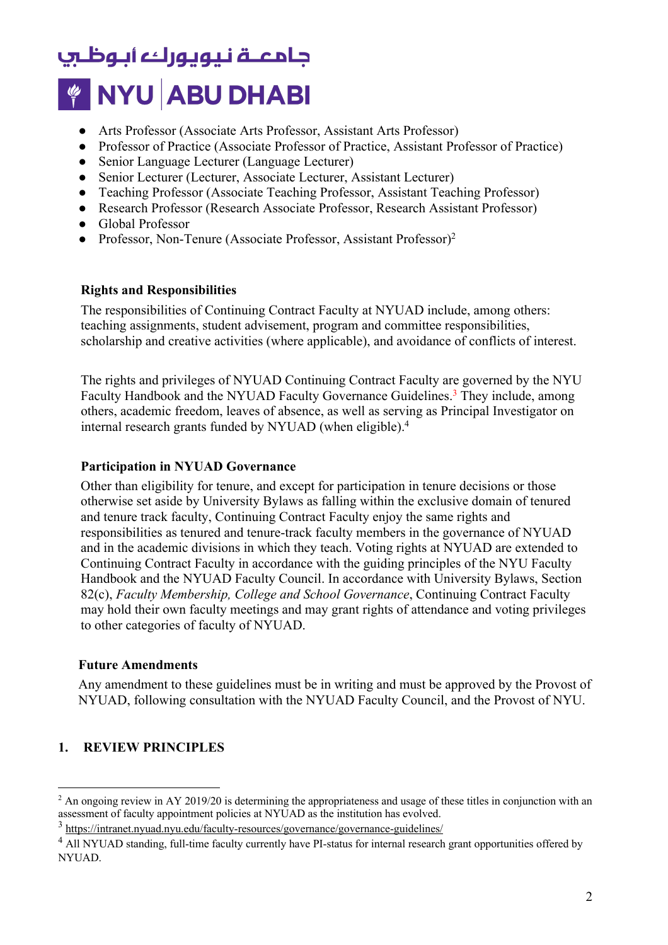- Arts Professor (Associate Arts Professor, Assistant Arts Professor)
- Professor of Practice (Associate Professor of Practice, Assistant Professor of Practice)
- Senior Language Lecturer (Language Lecturer)
- Senior Lecturer (Lecturer, Associate Lecturer, Assistant Lecturer)
- Teaching Professor (Associate Teaching Professor, Assistant Teaching Professor)
- Research Professor (Research Associate Professor, Research Assistant Professor)
- Global Professor
- Professor, Non-Tenure (Associate Professor, Assistant Professor)<sup>2</sup>

### **Rights and Responsibilities**

The responsibilities of Continuing Contract Faculty at NYUAD include, among others: teaching assignments, student advisement, program and committee responsibilities, scholarship and creative activities (where applicable), and avoidance of conflicts of interest.

 internal research grants funded by NYUAD (when eligible).4 The rights and privileges of NYUAD Continuing Contract Faculty are governed by the NYU Faculty Handbook and the NYUAD Faculty Governance Guidelines.<sup>3</sup> They include, among others, academic freedom, leaves of absence, as well as serving as Principal Investigator on

### **Participation in NYUAD Governance**

Other than eligibility for tenure, and except for participation in tenure decisions or those otherwise set aside by University Bylaws as falling within the exclusive domain of tenured and tenure track faculty, Continuing Contract Faculty enjoy the same rights and responsibilities as tenured and tenure-track faculty members in the governance of NYUAD and in the academic divisions in which they teach. Voting rights at NYUAD are extended to Continuing Contract Faculty in accordance with the guiding principles of the NYU Faculty Handbook and the NYUAD Faculty Council. In accordance with University Bylaws, Section 82(c), *Faculty Membership, College and School Governance*, Continuing Contract Faculty may hold their own faculty meetings and may grant rights of attendance and voting privileges to other categories of faculty of NYUAD.

### **Future Amendments**

Any amendment to these guidelines must be in writing and must be approved by the Provost of NYUAD, following consultation with the NYUAD Faculty Council, and the Provost of NYU.

### **1. REVIEW PRINCIPLES**

 $2 \text{ An ongoing review in AY } 2019/20$  is determining the appropriateness and usage of these titles in conjunction with an assessment of faculty appointment policies at NYUAD as the institution has evolved.

<sup>3</sup> https://intranet.nyuad.nyu.edu/faculty-resources/governance/governance-guidelines/

 $<sup>4</sup>$  All NYUAD standing, full-time faculty currently have PI-status for internal research grant opportunities offered by</sup> NYUAD.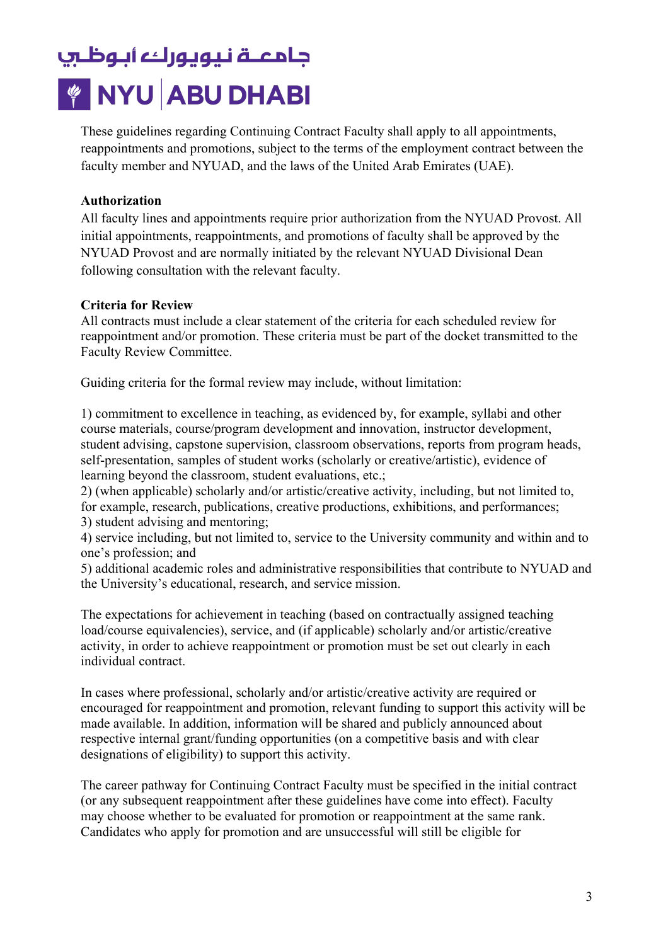These guidelines regarding Continuing Contract Faculty shall apply to all appointments, reappointments and promotions, subject to the terms of the employment contract between the faculty member and NYUAD, and the laws of the United Arab Emirates (UAE).

### **Authorization**

All faculty lines and appointments require prior authorization from the NYUAD Provost. All initial appointments, reappointments, and promotions of faculty shall be approved by the NYUAD Provost and are normally initiated by the relevant NYUAD Divisional Dean following consultation with the relevant faculty.

#### **Criteria for Review**

All contracts must include a clear statement of the criteria for each scheduled review for reappointment and/or promotion. These criteria must be part of the docket transmitted to the Faculty Review Committee.

Guiding criteria for the formal review may include, without limitation:

1) commitment to excellence in teaching, as evidenced by, for example, syllabi and other course materials, course/program development and innovation, instructor development, student advising, capstone supervision, classroom observations, reports from program heads, self-presentation, samples of student works (scholarly or creative/artistic), evidence of learning beyond the classroom, student evaluations, etc.;

for example, research, publications, creative productions, exhibitions, and performances; 3) student advising and mentoring; 2) (when applicable) scholarly and/or artistic/creative activity, including, but not limited to,

4) service including, but not limited to, service to the University community and within and to one's profession; and

5) additional academic roles and administrative responsibilities that contribute to NYUAD and the University's educational, research, and service mission.

The expectations for achievement in teaching (based on contractually assigned teaching load/course equivalencies), service, and (if applicable) scholarly and/or artistic/creative activity, in order to achieve reappointment or promotion must be set out clearly in each individual contract.

In cases where professional, scholarly and/or artistic/creative activity are required or encouraged for reappointment and promotion, relevant funding to support this activity will be made available. In addition, information will be shared and publicly announced about respective internal grant/funding opportunities (on a competitive basis and with clear designations of eligibility) to support this activity.

The career pathway for Continuing Contract Faculty must be specified in the initial contract (or any subsequent reappointment after these guidelines have come into effect). Faculty may choose whether to be evaluated for promotion or reappointment at the same rank. Candidates who apply for promotion and are unsuccessful will still be eligible for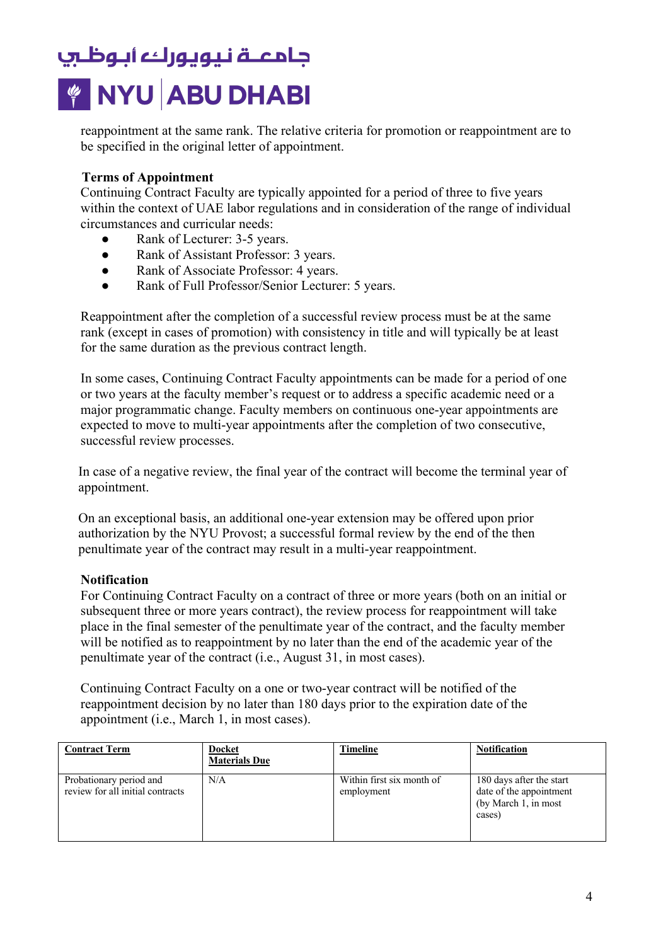reappointment at the same rank. The relative criteria for promotion or reappointment are to be specified in the original letter of appointment.

### **Terms of Appointment**

Continuing Contract Faculty are typically appointed for a period of three to five years within the context of UAE labor regulations and in consideration of the range of individual circumstances and curricular needs:

- Rank of Lecturer: 3-5 years.
- Rank of Assistant Professor: 3 years.
- Rank of Associate Professor: 4 years.
- Rank of Full Professor/Senior Lecturer: 5 years.

Reappointment after the completion of a successful review process must be at the same rank (except in cases of promotion) with consistency in title and will typically be at least for the same duration as the previous contract length.

In some cases, Continuing Contract Faculty appointments can be made for a period of one or two years at the faculty member's request or to address a specific academic need or a major programmatic change. Faculty members on continuous one-year appointments are expected to move to multi-year appointments after the completion of two consecutive, successful review processes.

In case of a negative review, the final year of the contract will become the terminal year of appointment.

On an exceptional basis, an additional one-year extension may be offered upon prior authorization by the NYU Provost; a successful formal review by the end of the then penultimate year of the contract may result in a multi-year reappointment.

### **Notification**

For Continuing Contract Faculty on a contract of three or more years (both on an initial or subsequent three or more years contract), the review process for reappointment will take place in the final semester of the penultimate year of the contract, and the faculty member will be notified as to reappointment by no later than the end of the academic year of the penultimate year of the contract (i.e., August 31, in most cases).

Continuing Contract Faculty on a one or two-year contract will be notified of the reappointment decision by no later than 180 days prior to the expiration date of the appointment (i.e., March 1, in most cases).

| <b>Contract Term</b>                                        | <b>Docket</b><br><b>Materials Due</b> | Timeline                                | <b>Notification</b>                                                                   |
|-------------------------------------------------------------|---------------------------------------|-----------------------------------------|---------------------------------------------------------------------------------------|
| Probationary period and<br>review for all initial contracts | N/A                                   | Within first six month of<br>employment | 180 days after the start<br>date of the appointment<br>(by March 1, in most<br>cases) |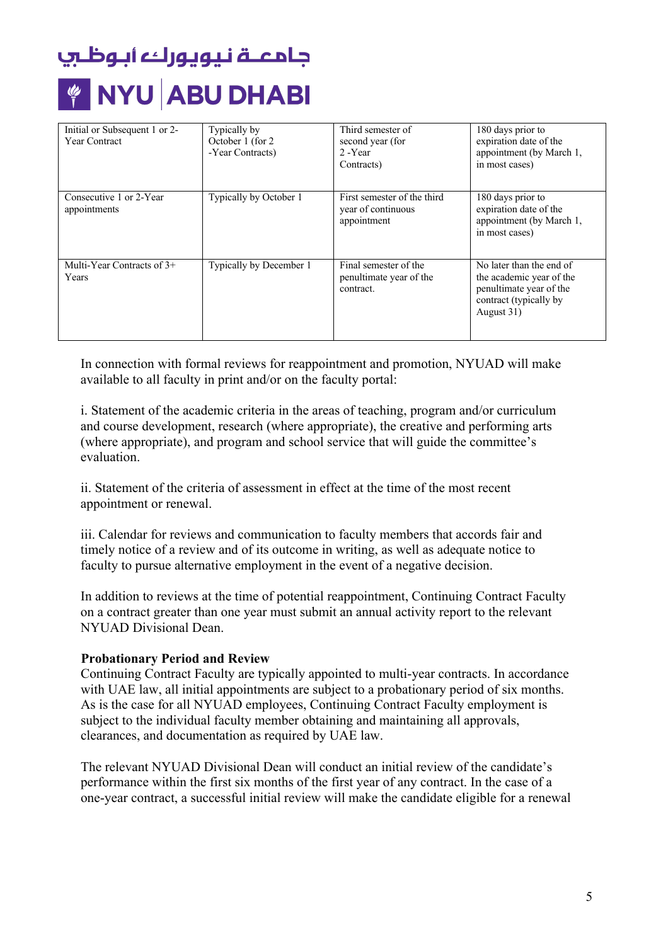| Initial or Subsequent 1 or 2-           | Typically by            | Third semester of                                                | 180 days prior to                                                                                                       |
|-----------------------------------------|-------------------------|------------------------------------------------------------------|-------------------------------------------------------------------------------------------------------------------------|
| Year Contract                           | October 1 (for 2)       | second year (for                                                 | expiration date of the                                                                                                  |
|                                         | -Year Contracts)        | 2 - Year                                                         | appointment (by March 1,                                                                                                |
|                                         |                         | Contracts)                                                       | in most cases)                                                                                                          |
|                                         |                         |                                                                  |                                                                                                                         |
|                                         |                         |                                                                  |                                                                                                                         |
| Consecutive 1 or 2-Year<br>appointments | Typically by October 1  | First semester of the third<br>year of continuous<br>appointment | 180 days prior to<br>expiration date of the<br>appointment (by March 1,<br>in most cases)                               |
| Multi-Year Contracts of $3+$<br>Years   | Typically by December 1 | Final semester of the<br>penultimate year of the<br>contract.    | No later than the end of<br>the academic year of the<br>penultimate year of the<br>contract (typically by<br>August 31) |

In connection with formal reviews for reappointment and promotion, NYUAD will make available to all faculty in print and/or on the faculty portal:

i. Statement of the academic criteria in the areas of teaching, program and/or curriculum and course development, research (where appropriate), the creative and performing arts (where appropriate), and program and school service that will guide the committee's evaluation.

ii. Statement of the criteria of assessment in effect at the time of the most recent appointment or renewal.

iii. Calendar for reviews and communication to faculty members that accords fair and timely notice of a review and of its outcome in writing, as well as adequate notice to faculty to pursue alternative employment in the event of a negative decision.

 NYUAD Divisional Dean. In addition to reviews at the time of potential reappointment, Continuing Contract Faculty on a contract greater than one year must submit an annual activity report to the relevant

### **Probationary Period and Review**

 with UAE law, all initial appointments are subject to a probationary period of six months. Continuing Contract Faculty are typically appointed to multi-year contracts. In accordance As is the case for all NYUAD employees, Continuing Contract Faculty employment is subject to the individual faculty member obtaining and maintaining all approvals, clearances, and documentation as required by UAE law.

The relevant NYUAD Divisional Dean will conduct an initial review of the candidate's performance within the first six months of the first year of any contract. In the case of a one-year contract, a successful initial review will make the candidate eligible for a renewal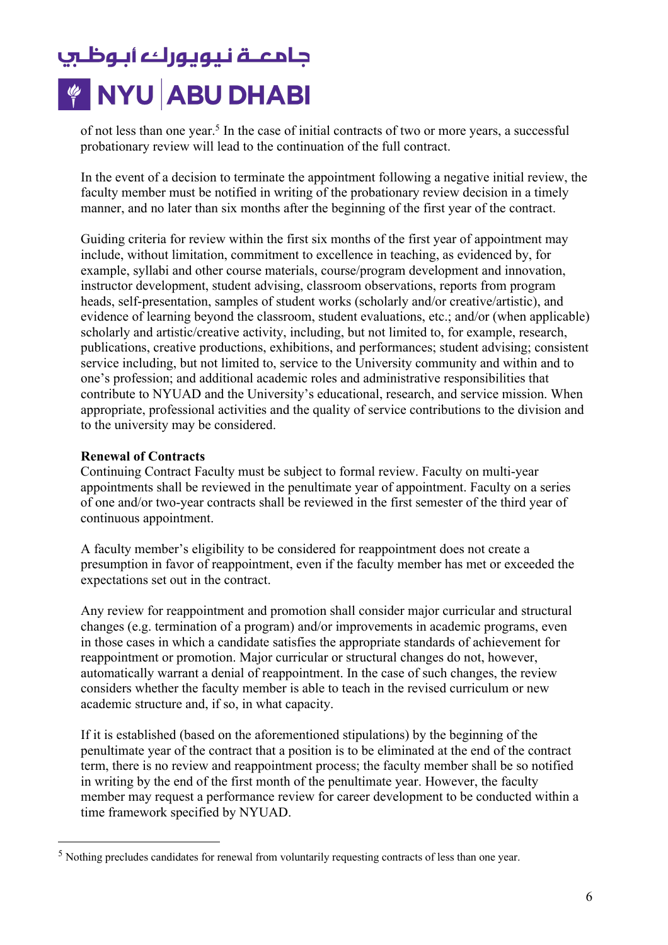of not less than one year.<sup>5</sup> In the case of initial contracts of two or more years, a successful probationary review will lead to the continuation of the full contract.

In the event of a decision to terminate the appointment following a negative initial review, the faculty member must be notified in writing of the probationary review decision in a timely manner, and no later than six months after the beginning of the first year of the contract.

Guiding criteria for review within the first six months of the first year of appointment may include, without limitation, commitment to excellence in teaching, as evidenced by, for example, syllabi and other course materials, course/program development and innovation, instructor development, student advising, classroom observations, reports from program heads, self-presentation, samples of student works (scholarly and/or creative/artistic), and evidence of learning beyond the classroom, student evaluations, etc.; and/or (when applicable) scholarly and artistic/creative activity, including, but not limited to, for example, research, publications, creative productions, exhibitions, and performances; student advising; consistent service including, but not limited to, service to the University community and within and to one's profession; and additional academic roles and administrative responsibilities that contribute to NYUAD and the University's educational, research, and service mission. When appropriate, professional activities and the quality of service contributions to the division and to the university may be considered.

### **Renewal of Contracts**

Continuing Contract Faculty must be subject to formal review. Faculty on multi-year appointments shall be reviewed in the penultimate year of appointment. Faculty on a series of one and/or two-year contracts shall be reviewed in the first semester of the third year of continuous appointment.

A faculty member's eligibility to be considered for reappointment does not create a presumption in favor of reappointment, even if the faculty member has met or exceeded the expectations set out in the contract.

Any review for reappointment and promotion shall consider major curricular and structural changes (e.g. termination of a program) and/or improvements in academic programs, even in those cases in which a candidate satisfies the appropriate standards of achievement for reappointment or promotion. Major curricular or structural changes do not, however, automatically warrant a denial of reappointment. In the case of such changes, the review considers whether the faculty member is able to teach in the revised curriculum or new academic structure and, if so, in what capacity.

If it is established (based on the aforementioned stipulations) by the beginning of the penultimate year of the contract that a position is to be eliminated at the end of the contract term, there is no review and reappointment process; the faculty member shall be so notified in writing by the end of the first month of the penultimate year. However, the faculty member may request a performance review for career development to be conducted within a time framework specified by NYUAD.

 $<sup>5</sup>$  Nothing precludes candidates for renewal from voluntarily requesting contracts of less than one year.</sup>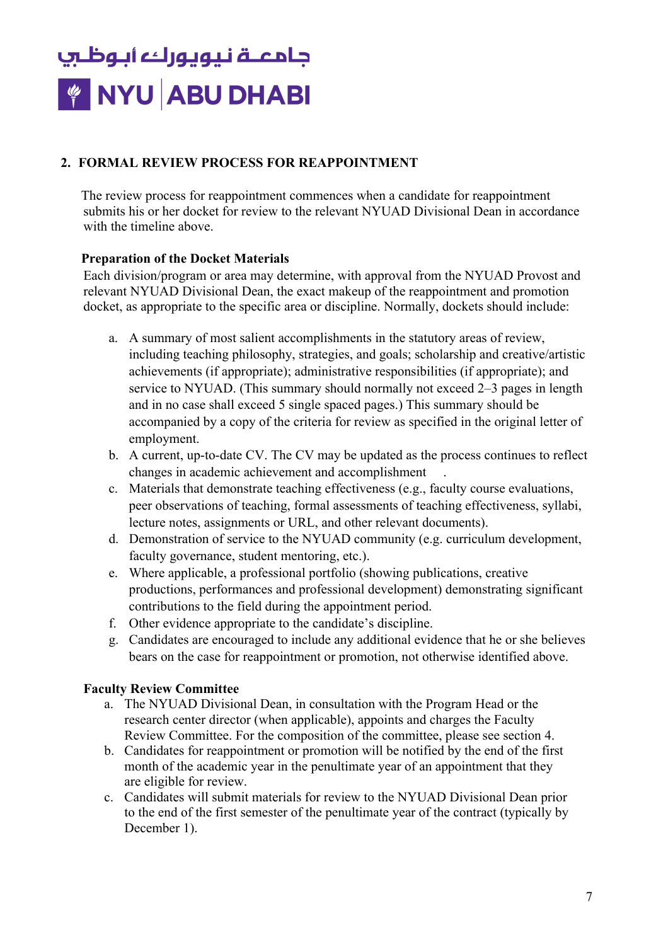### **2. FORMAL REVIEW PROCESS FOR REAPPOINTMENT**

 submits his or her docket for review to the relevant NYUAD Divisional Dean in accordance with the timeline above. The review process for reappointment commences when a candidate for reappointment

### **Preparation of the Docket Materials**

 relevant NYUAD Divisional Dean, the exact makeup of the reappointment and promotion Each division/program or area may determine, with approval from the NYUAD Provost and docket, as appropriate to the specific area or discipline. Normally, dockets should include:

- a. A summary of most salient accomplishments in the statutory areas of review, including teaching philosophy, strategies, and goals; scholarship and creative/artistic achievements (if appropriate); administrative responsibilities (if appropriate); and service to NYUAD. (This summary should normally not exceed 2–3 pages in length and in no case shall exceed 5 single spaced pages.) This summary should be accompanied by a copy of the criteria for review as specified in the original letter of employment.
- changes in academic achievement and accomplishment . b. A current, up-to-date CV. The CV may be updated as the process continues to reflect
- c. Materials that demonstrate teaching effectiveness (e.g., faculty course evaluations, peer observations of teaching, formal assessments of teaching effectiveness, syllabi, lecture notes, assignments or URL, and other relevant documents).
- d. Demonstration of service to the NYUAD community (e.g. curriculum development, faculty governance, student mentoring, etc.).
- e. Where applicable, a professional portfolio (showing publications, creative productions, performances and professional development) demonstrating significant contributions to the field during the appointment period.
- f. Other evidence appropriate to the candidate's discipline.
- g. Candidates are encouraged to include any additional evidence that he or she believes bears on the case for reappointment or promotion, not otherwise identified above.

### **Faculty Review Committee**

- a. The NYUAD Divisional Dean, in consultation with the Program Head or the research center director (when applicable), appoints and charges the Faculty Review Committee. For the composition of the committee, please see section 4.
- are eligible for review. b. Candidates for reappointment or promotion will be notified by the end of the first month of the academic year in the penultimate year of an appointment that they
- c. Candidates will submit materials for review to the NYUAD Divisional Dean prior to the end of the first semester of the penultimate year of the contract (typically by December 1).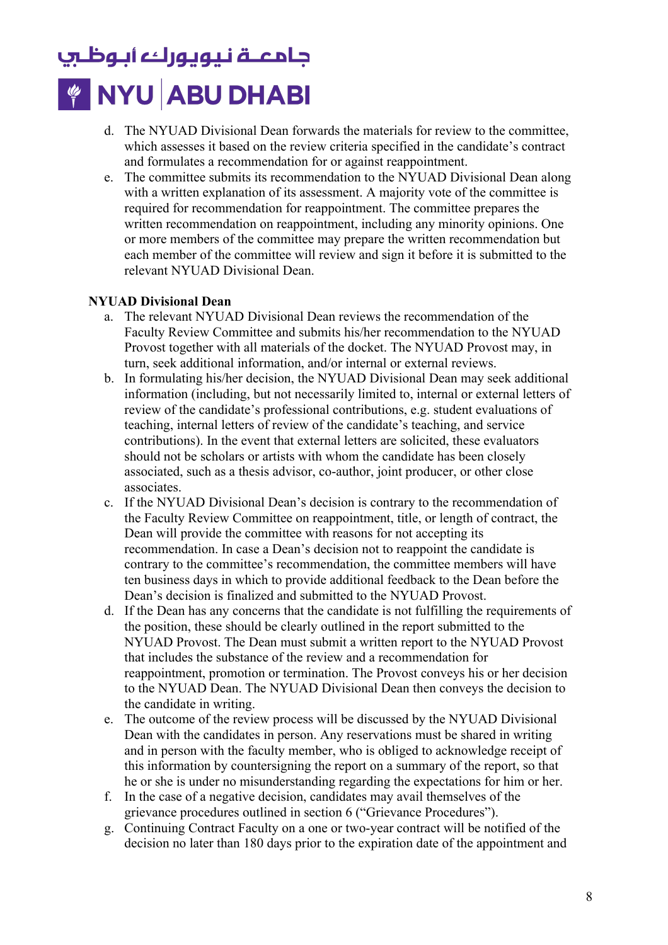- d. The NYUAD Divisional Dean forwards the materials for review to the committee, which assesses it based on the review criteria specified in the candidate's contract and formulates a recommendation for or against reappointment.
- each member of the committee will review and sign it before it is submitted to the relevant NYUAD Divisional Dean. e. The committee submits its recommendation to the NYUAD Divisional Dean along with a written explanation of its assessment. A majority vote of the committee is required for recommendation for reappointment. The committee prepares the written recommendation on reappointment, including any minority opinions. One or more members of the committee may prepare the written recommendation but

### **NYUAD Divisional Dean**

- a. The relevant NYUAD Divisional Dean reviews the recommendation of the Faculty Review Committee and submits his/her recommendation to the NYUAD Provost together with all materials of the docket. The NYUAD Provost may, in turn, seek additional information, and/or internal or external reviews.
- b. In formulating his/her decision, the NYUAD Divisional Dean may seek additional information (including, but not necessarily limited to, internal or external letters of review of the candidate's professional contributions, e.g. student evaluations of teaching, internal letters of review of the candidate's teaching, and service contributions). In the event that external letters are solicited, these evaluators should not be scholars or artists with whom the candidate has been closely associated, such as a thesis advisor, co-author, joint producer, or other close associates.
- Dean's decision is finalized and submitted to the NYUAD Provost. c. If the NYUAD Divisional Dean's decision is contrary to the recommendation of the Faculty Review Committee on reappointment, title, or length of contract, the Dean will provide the committee with reasons for not accepting its recommendation. In case a Dean's decision not to reappoint the candidate is contrary to the committee's recommendation, the committee members will have ten business days in which to provide additional feedback to the Dean before the
- d. If the Dean has any concerns that the candidate is not fulfilling the requirements of the position, these should be clearly outlined in the report submitted to the NYUAD Provost. The Dean must submit a written report to the NYUAD Provost that includes the substance of the review and a recommendation for reappointment, promotion or termination. The Provost conveys his or her decision to the NYUAD Dean. The NYUAD Divisional Dean then conveys the decision to the candidate in writing.
- e. The outcome of the review process will be discussed by the NYUAD Divisional Dean with the candidates in person. Any reservations must be shared in writing and in person with the faculty member, who is obliged to acknowledge receipt of this information by countersigning the report on a summary of the report, so that he or she is under no misunderstanding regarding the expectations for him or her.
- f. In the case of a negative decision, candidates may avail themselves of the grievance procedures outlined in section 6 ("Grievance Procedures").
- g. Continuing Contract Faculty on a one or two-year contract will be notified of the decision no later than 180 days prior to the expiration date of the appointment and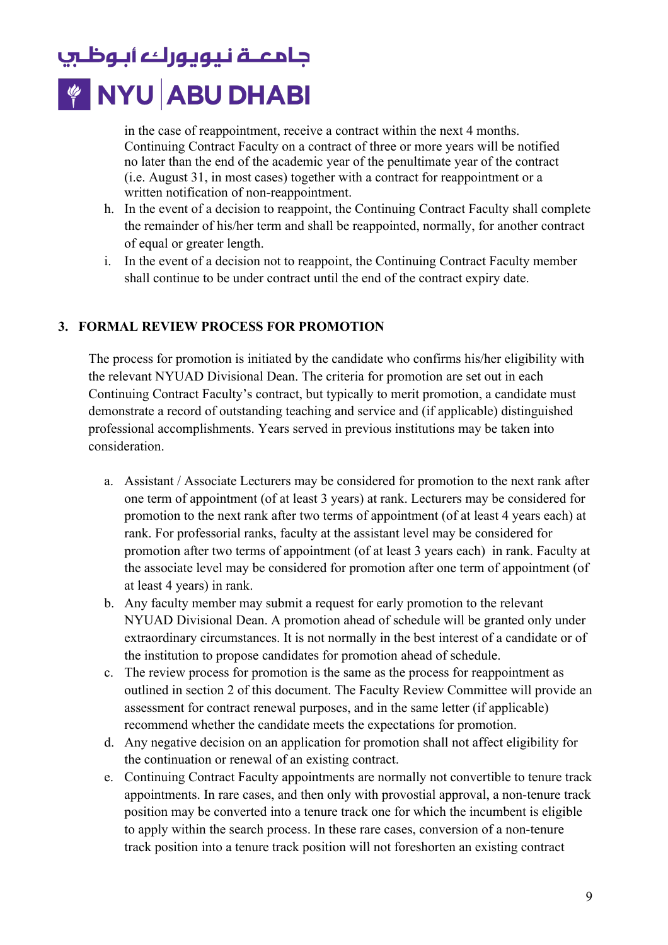in the case of reappointment, receive a contract within the next 4 months. Continuing Contract Faculty on a contract of three or more years will be notified no later than the end of the academic year of the penultimate year of the contract (i.e. August 31, in most cases) together with a contract for reappointment or a written notification of non-reappointment.

- h. In the event of a decision to reappoint, the Continuing Contract Faculty shall complete the remainder of his/her term and shall be reappointed, normally, for another contract of equal or greater length.
- i. In the event of a decision not to reappoint, the Continuing Contract Faculty member shall continue to be under contract until the end of the contract expiry date.

### **3. FORMAL REVIEW PROCESS FOR PROMOTION**

The process for promotion is initiated by the candidate who confirms his/her eligibility with the relevant NYUAD Divisional Dean. The criteria for promotion are set out in each Continuing Contract Faculty's contract, but typically to merit promotion, a candidate must demonstrate a record of outstanding teaching and service and (if applicable) distinguished professional accomplishments. Years served in previous institutions may be taken into consideration.

- promotion to the next rank after two terms of appointment (of at least 4 years each) at at least 4 years) in rank. a. Assistant / Associate Lecturers may be considered for promotion to the next rank after one term of appointment (of at least 3 years) at rank. Lecturers may be considered for rank. For professorial ranks, faculty at the assistant level may be considered for promotion after two terms of appointment (of at least 3 years each) in rank. Faculty at the associate level may be considered for promotion after one term of appointment (of
- b. Any faculty member may submit a request for early promotion to the relevant NYUAD Divisional Dean. A promotion ahead of schedule will be granted only under extraordinary circumstances. It is not normally in the best interest of a candidate or of the institution to propose candidates for promotion ahead of schedule.
- c. The review process for promotion is the same as the process for reappointment as outlined in section 2 of this document. The Faculty Review Committee will provide an assessment for contract renewal purposes, and in the same letter (if applicable) recommend whether the candidate meets the expectations for promotion.
- d. Any negative decision on an application for promotion shall not affect eligibility for the continuation or renewal of an existing contract.
- e. Continuing Contract Faculty appointments are normally not convertible to tenure track appointments. In rare cases, and then only with provostial approval, a non-tenure track position may be converted into a tenure track one for which the incumbent is eligible to apply within the search process. In these rare cases, conversion of a non-tenure track position into a tenure track position will not foreshorten an existing contract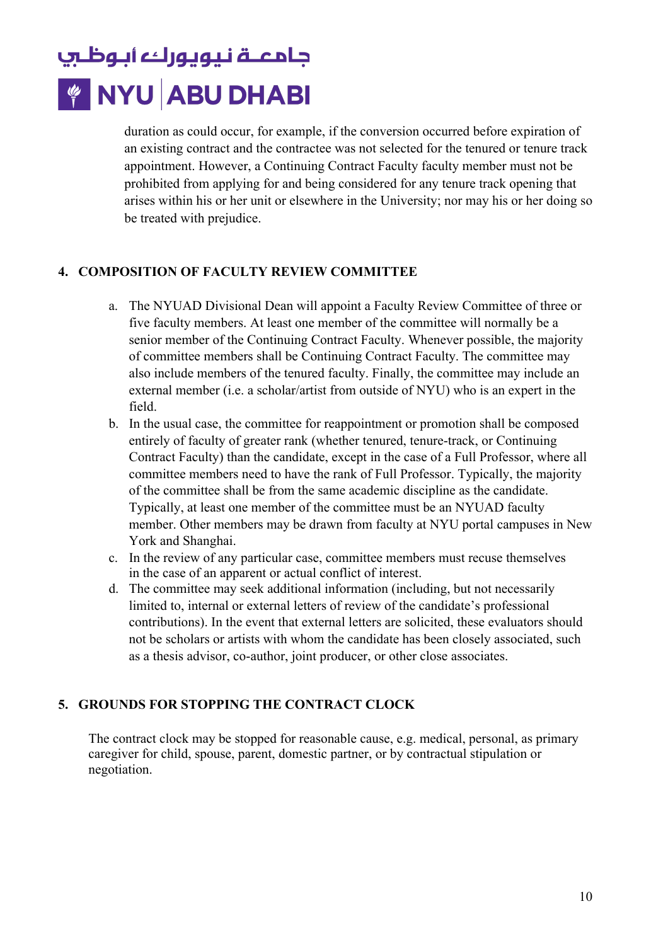duration as could occur, for example, if the conversion occurred before expiration of an existing contract and the contractee was not selected for the tenured or tenure track appointment. However, a Continuing Contract Faculty faculty member must not be prohibited from applying for and being considered for any tenure track opening that arises within his or her unit or elsewhere in the University; nor may his or her doing so be treated with prejudice.

### **4. COMPOSITION OF FACULTY REVIEW COMMITTEE**

- a. The NYUAD Divisional Dean will appoint a Faculty Review Committee of three or five faculty members. At least one member of the committee will normally be a senior member of the Continuing Contract Faculty. Whenever possible, the majority of committee members shall be Continuing Contract Faculty. The committee may also include members of the tenured faculty. Finally, the committee may include an external member (i.e. a scholar/artist from outside of NYU) who is an expert in the field.
- b. In the usual case, the committee for reappointment or promotion shall be composed entirely of faculty of greater rank (whether tenured, tenure-track, or Continuing Contract Faculty) than the candidate, except in the case of a Full Professor, where all committee members need to have the rank of Full Professor. Typically, the majority of the committee shall be from the same academic discipline as the candidate. Typically, at least one member of the committee must be an NYUAD faculty member. Other members may be drawn from faculty at NYU portal campuses in New York and Shanghai.
- c. In the review of any particular case, committee members must recuse themselves in the case of an apparent or actual conflict of interest.
- d. The committee may seek additional information (including, but not necessarily limited to, internal or external letters of review of the candidate's professional contributions). In the event that external letters are solicited, these evaluators should not be scholars or artists with whom the candidate has been closely associated, such as a thesis advisor, co-author, joint producer, or other close associates.

### **5. GROUNDS FOR STOPPING THE CONTRACT CLOCK**

The contract clock may be stopped for reasonable cause, e.g. medical, personal, as primary caregiver for child, spouse, parent, domestic partner, or by contractual stipulation or negotiation.